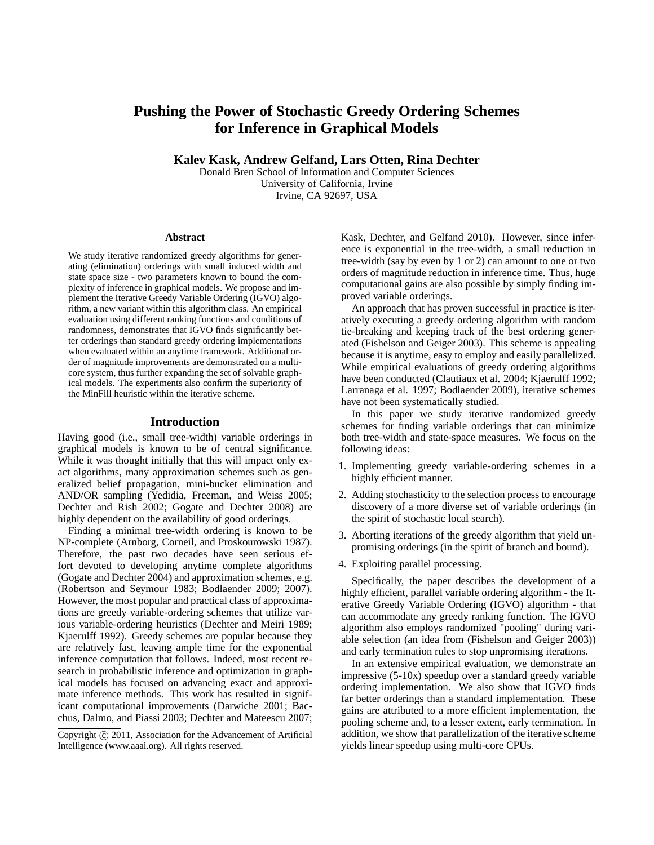# **Pushing the Power of Stochastic Greedy Ordering Schemes for Inference in Graphical Models**

**Kalev Kask, Andrew Gelfand, Lars Otten, Rina Dechter**

Donald Bren School of Information and Computer Sciences University of California, Irvine Irvine, CA 92697, USA

#### **Abstract**

We study iterative randomized greedy algorithms for generating (elimination) orderings with small induced width and state space size - two parameters known to bound the complexity of inference in graphical models. We propose and implement the Iterative Greedy Variable Ordering (IGVO) algorithm, a new variant within this algorithm class. An empirical evaluation using different ranking functions and conditions of randomness, demonstrates that IGVO finds significantly better orderings than standard greedy ordering implementations when evaluated within an anytime framework. Additional order of magnitude improvements are demonstrated on a multicore system, thus further expanding the set of solvable graphical models. The experiments also confirm the superiority of the MinFill heuristic within the iterative scheme.

#### **Introduction**

Having good (i.e., small tree-width) variable orderings in graphical models is known to be of central significance. While it was thought initially that this will impact only exact algorithms, many approximation schemes such as generalized belief propagation, mini-bucket elimination and AND/OR sampling (Yedidia, Freeman, and Weiss 2005; Dechter and Rish 2002; Gogate and Dechter 2008) are highly dependent on the availability of good orderings.

Finding a minimal tree-width ordering is known to be NP-complete (Arnborg, Corneil, and Proskourowski 1987). Therefore, the past two decades have seen serious effort devoted to developing anytime complete algorithms (Gogate and Dechter 2004) and approximation schemes, e.g. (Robertson and Seymour 1983; Bodlaender 2009; 2007). However, the most popular and practical class of approximations are greedy variable-ordering schemes that utilize various variable-ordering heuristics (Dechter and Meiri 1989; Kjaerulff 1992). Greedy schemes are popular because they are relatively fast, leaving ample time for the exponential inference computation that follows. Indeed, most recent research in probabilistic inference and optimization in graphical models has focused on advancing exact and approximate inference methods. This work has resulted in significant computational improvements (Darwiche 2001; Bacchus, Dalmo, and Piassi 2003; Dechter and Mateescu 2007;

Kask, Dechter, and Gelfand 2010). However, since inference is exponential in the tree-width, a small reduction in tree-width (say by even by 1 or 2) can amount to one or two orders of magnitude reduction in inference time. Thus, huge computational gains are also possible by simply finding improved variable orderings.

An approach that has proven successful in practice is iteratively executing a greedy ordering algorithm with random tie-breaking and keeping track of the best ordering generated (Fishelson and Geiger 2003). This scheme is appealing because it is anytime, easy to employ and easily parallelized. While empirical evaluations of greedy ordering algorithms have been conducted (Clautiaux et al. 2004; Kjaerulff 1992; Larranaga et al. 1997; Bodlaender 2009), iterative schemes have not been systematically studied.

In this paper we study iterative randomized greedy schemes for finding variable orderings that can minimize both tree-width and state-space measures. We focus on the following ideas:

- 1. Implementing greedy variable-ordering schemes in a highly efficient manner.
- 2. Adding stochasticity to the selection process to encourage discovery of a more diverse set of variable orderings (in the spirit of stochastic local search).
- 3. Aborting iterations of the greedy algorithm that yield unpromising orderings (in the spirit of branch and bound).
- 4. Exploiting parallel processing.

Specifically, the paper describes the development of a highly efficient, parallel variable ordering algorithm - the Iterative Greedy Variable Ordering (IGVO) algorithm - that can accommodate any greedy ranking function. The IGVO algorithm also employs randomized "pooling" during variable selection (an idea from (Fishelson and Geiger 2003)) and early termination rules to stop unpromising iterations.

In an extensive empirical evaluation, we demonstrate an impressive (5-10x) speedup over a standard greedy variable ordering implementation. We also show that IGVO finds far better orderings than a standard implementation. These gains are attributed to a more efficient implementation, the pooling scheme and, to a lesser extent, early termination. In addition, we show that parallelization of the iterative scheme yields linear speedup using multi-core CPUs.

Copyright  $\odot$  2011, Association for the Advancement of Artificial Intelligence (www.aaai.org). All rights reserved.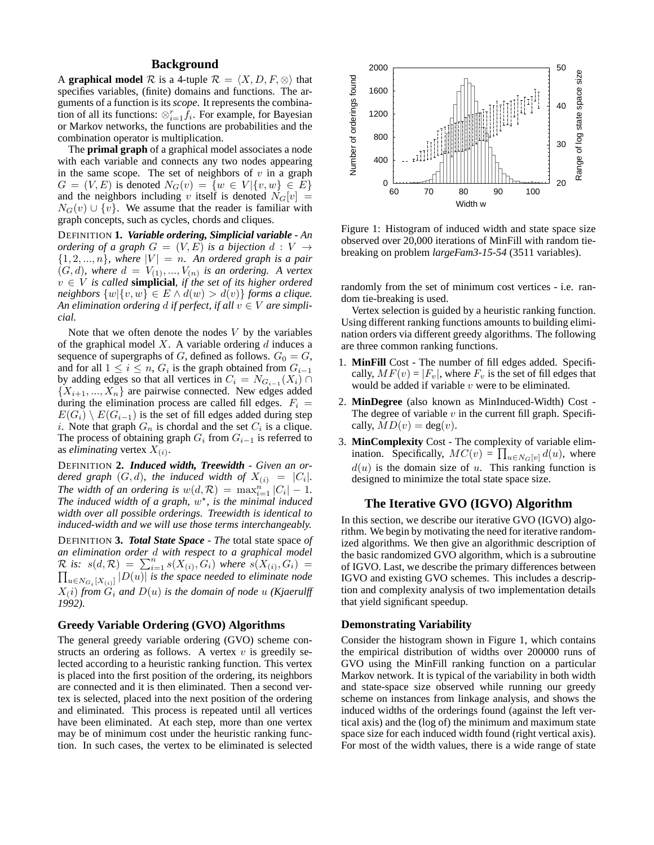# **Background**

A **graphical model**  $\mathcal{R}$  is a 4-tuple  $\mathcal{R} = \langle X, D, F, \otimes \rangle$  that specifies variables, (finite) domains and functions. The arguments of a function is its *scope*. It represents the combination of all its functions:  $\otimes_{i=1}^r \hat{f}_i$ . For example, for Bayesian or Markov networks, the functions are probabilities and the combination operator is multiplication.

The **primal graph** of a graphical model associates a node with each variable and connects any two nodes appearing in the same scope. The set of neighbors of  $v$  in a graph  $G = (V, E)$  is denoted  $N_G(v) = \{w \in V | \{v, w\} \in E\}$ and the neighbors including v itself is denoted  $N_G[v] =$  $N_G(v) \cup \{v\}$ . We assume that the reader is familiar with graph concepts, such as cycles, chords and cliques.

DEFINITION **1.** *Variable ordering, Simplicial variable - An ordering of a graph*  $G = (V, E)$  *is a bijection d* :  $V \rightarrow$  $\{1, 2, ..., n\}$ , where  $|V| = n$ . An ordered graph is a pair  $(G, d)$ , where  $d = V_{(1)}, ..., V_{(n)}$  is an ordering. A vertex  $v \in V$  *is called* **simplicial***, if the set of its higher ordered neighbors*  $\{w|\{v, w\} \in E \land d(w) > d(v)\}$  *forms a clique. An elimination ordering d if perfect, if all*  $v \in V$  *are simplicial.*

Note that we often denote the nodes  $V$  by the variables of the graphical model  $X$ . A variable ordering  $d$  induces a sequence of supergraphs of G, defined as follows.  $G_0 = G$ , and for all  $1 \leq i \leq n$ ,  $G_i$  is the graph obtained from  $G_{i-1}$ by adding edges so that all vertices in  $C_i = N_{G_{i-1}}(X_i) \cap$  $\{X_{i+1},...,X_n\}$  are pairwise connected. New edges added during the elimination process are called fill edges.  $F_i$  =  $E(G_i) \setminus E(G_{i-1})$  is the set of fill edges added during step i. Note that graph  $G_n$  is chordal and the set  $C_i$  is a clique. The process of obtaining graph  $G_i$  from  $G_{i-1}$  is referred to as *eliminating* vertex  $X_{(i)}$ .

DEFINITION **2.** *Induced width, Treewidth - Given an ordered graph*  $(G,d)$ *, the induced width of*  $X_{(i)} = |C_i|$ *. The width of an ordering is*  $w(d, \mathcal{R}) = \max_{i=1}^{n} |C_i| - 1$ . The induced width of a graph,  $w^*$ , is the minimal induced *width over all possible orderings. Treewidth is identical to induced-width and we will use those terms interchangeably.*

DEFINITION **3.** *Total State Space - The* total state space *of an elimination order d with respect to a graphical model*  $\mathcal R$  *is:*  $s(d, \mathcal R) = \sum_{i=1}^n s(X_{(i)}, G_i)$  *where*  $s(X_{(i)}, G_i)$  =  $\prod$  $, G_i) =$  $\left\| u \in N_{G_i} [ X_{(i)} ] ~\middle| D(u) \right\|$  is the space needed to eliminate node  $X(i)$  from  $G_i$  and  $D(u)$  is the domain of node  $u$  (Kjaerulff *1992).*

### **Greedy Variable Ordering (GVO) Algorithms**

The general greedy variable ordering (GVO) scheme constructs an ordering as follows. A vertex  $v$  is greedily selected according to a heuristic ranking function. This vertex is placed into the first position of the ordering, its neighbors are connected and it is then eliminated. Then a second vertex is selected, placed into the next position of the ordering and eliminated. This process is repeated until all vertices have been eliminated. At each step, more than one vertex may be of minimum cost under the heuristic ranking function. In such cases, the vertex to be eliminated is selected



Figure 1: Histogram of induced width and state space size observed over 20,000 iterations of MinFill with random tiebreaking on problem *largeFam3-15-54* (3511 variables).

randomly from the set of minimum cost vertices - i.e. random tie-breaking is used.

Vertex selection is guided by a heuristic ranking function. Using different ranking functions amounts to building elimination orders via different greedy algorithms. The following are three common ranking functions.

- 1. **MinFill** Cost The number of fill edges added. Specifically,  $MF(v) = |F_v|$ , where  $F_v$  is the set of fill edges that would be added if variable  $v$  were to be eliminated.
- 2. **MinDegree** (also known as MinInduced-Width) Cost The degree of variable  $v$  in the current fill graph. Specifically,  $MD(v) = deg(v)$ .
- 3. **MinComplexity** Cost The complexity of variable elimination. Specifically,  $MC(v) = \prod_{u \in N_G[v]} d(u)$ , where  $d(u)$  is the domain size of u. This ranking function is designed to minimize the total state space size.

# **The Iterative GVO (IGVO) Algorithm**

In this section, we describe our iterative GVO (IGVO) algorithm. We begin by motivating the need for iterative randomized algorithms. We then give an algorithmic description of the basic randomized GVO algorithm, which is a subroutine of IGVO. Last, we describe the primary differences between IGVO and existing GVO schemes. This includes a description and complexity analysis of two implementation details that yield significant speedup.

#### **Demonstrating Variability**

Consider the histogram shown in Figure 1, which contains the empirical distribution of widths over 200000 runs of GVO using the MinFill ranking function on a particular Markov network. It is typical of the variability in both width and state-space size observed while running our greedy scheme on instances from linkage analysis, and shows the induced widths of the orderings found (against the left vertical axis) and the (log of) the minimum and maximum state space size for each induced width found (right vertical axis). For most of the width values, there is a wide range of state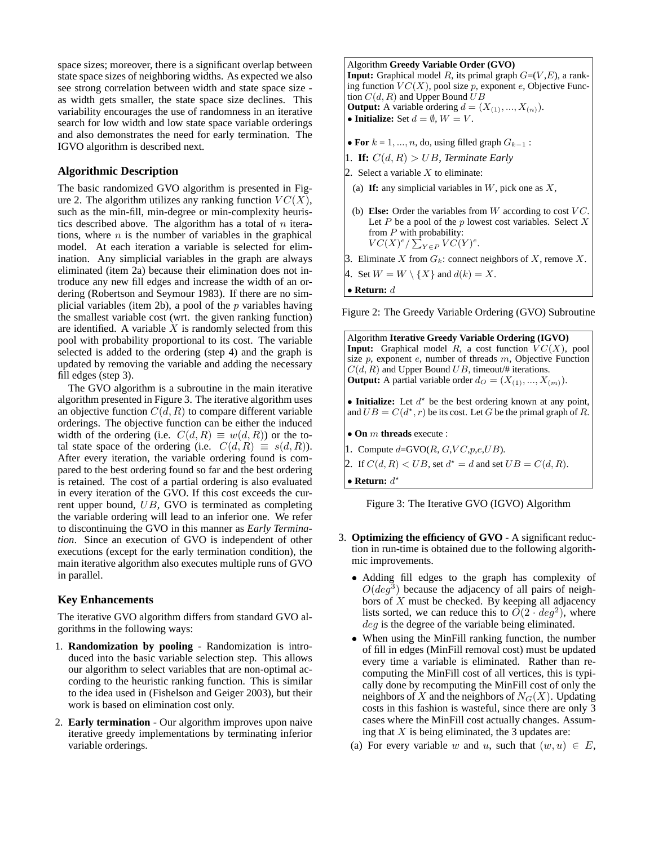space sizes; moreover, there is a significant overlap between state space sizes of neighboring widths. As expected we also see strong correlation between width and state space size as width gets smaller, the state space size declines. This variability encourages the use of randomness in an iterative search for low width and low state space variable orderings and also demonstrates the need for early termination. The IGVO algorithm is described next.

#### **Algorithmic Description**

The basic randomized GVO algorithm is presented in Figure 2. The algorithm utilizes any ranking function  $VC(X)$ , such as the min-fill, min-degree or min-complexity heuristics described above. The algorithm has a total of  $n$  iterations, where  $n$  is the number of variables in the graphical model. At each iteration a variable is selected for elimination. Any simplicial variables in the graph are always eliminated (item 2a) because their elimination does not introduce any new fill edges and increase the width of an ordering (Robertson and Seymour 1983). If there are no simplicial variables (item 2b), a pool of the  $p$  variables having the smallest variable cost (wrt. the given ranking function) are identified. A variable  $X$  is randomly selected from this pool with probability proportional to its cost. The variable selected is added to the ordering (step 4) and the graph is updated by removing the variable and adding the necessary fill edges (step 3).

The GVO algorithm is a subroutine in the main iterative algorithm presented in Figure 3. The iterative algorithm uses an objective function  $C(d, R)$  to compare different variable orderings. The objective function can be either the induced width of the ordering (i.e.  $C(d, R) \equiv w(d, R)$ ) or the total state space of the ordering (i.e.  $C(d, R) \equiv s(d, R)$ ). After every iteration, the variable ordering found is compared to the best ordering found so far and the best ordering is retained. The cost of a partial ordering is also evaluated in every iteration of the GVO. If this cost exceeds the current upper bound, UB, GVO is terminated as completing the variable ordering will lead to an inferior one. We refer to discontinuing the GVO in this manner as *Early Termination*. Since an execution of GVO is independent of other executions (except for the early termination condition), the main iterative algorithm also executes multiple runs of GVO in parallel.

### **Key Enhancements**

The iterative GVO algorithm differs from standard GVO algorithms in the following ways:

- 1. **Randomization by pooling** Randomization is introduced into the basic variable selection step. This allows our algorithm to select variables that are non-optimal according to the heuristic ranking function. This is similar to the idea used in (Fishelson and Geiger 2003), but their work is based on elimination cost only.
- 2. **Early termination** Our algorithm improves upon naive iterative greedy implementations by terminating inferior variable orderings.

# Algorithm **Greedy Variable Order (GVO)**

**Input:** Graphical model  $R$ , its primal graph  $G=(V, E)$ , a ranking function  $VC(X)$ , pool size p, exponent e, Objective Function  $C(d, R)$  and Upper Bound  $UB$ **Output:** A variable ordering  $d = (X_{(1)}, ..., X_{(n)})$ . • **Initialize:** Set  $d = \emptyset$ ,  $W = V$ .

- **For**  $k = 1, ..., n$ , do, using filled graph  $G_{k-1}$ :
- 1. **If:**  $C(d, R) > UB$ , *Terminate Early*
- 2. Select a variable  $X$  to eliminate:
	- (a) If: any simplicial variables in  $W$ , pick one as  $X$ ,
- (b) **Else:** Order the variables from  $W$  according to cost  $VC$ . Let  $P$  be a pool of the  $p$  lowest cost variables. Select  $X$ from  $P$  with probability:  $VC(X)^e/\sum_{Y\in P} VC(Y)^e.$
- 3. Eliminate X from  $G_k$ : connect neighbors of X, remove X.
- 4. Set  $W = W \setminus \{X\}$  and  $d(k) = X$ .
- **Return:** d

Figure 2: The Greedy Variable Ordering (GVO) Subroutine

Algorithm **Iterative Greedy Variable Ordering (IGVO) Input:** Graphical model  $R$ , a cost function  $VC(X)$ , pool size  $p$ , exponent  $e$ , number of threads  $m$ , Objective Function  $C(d, R)$  and Upper Bound UB, timeout/# iterations. **Output:** A partial variable order  $d_0 = (X_{(1)}, ..., X_{(m)})$ . • **Initialize:** Let  $d^*$  be the best ordering known at any point, and  $UB = C(d^*, r)$  be its cost. Let G be the primal graph of R. • **On** m **threads** execute : 1. Compute  $d = GVO(R, G, VC, p, e, UB)$ . 2. If  $C(d, R) < UB$ , set  $d^* = d$  and set  $UB = C(d, R)$ . • **Return:**  $d^*$ 

Figure 3: The Iterative GVO (IGVO) Algorithm

- 3. **Optimizing the efficiency of GVO** A significant reduction in run-time is obtained due to the following algorithmic improvements.
	- Adding fill edges to the graph has complexity of  $O(deg^3)$  because the adjacency of all pairs of neighbors of  $X$  must be checked. By keeping all adjacency lists sorted, we can reduce this to  $\overline{O(2 \cdot deg^2)}$ , where deg is the degree of the variable being eliminated.
	- When using the MinFill ranking function, the number of fill in edges (MinFill removal cost) must be updated every time a variable is eliminated. Rather than recomputing the MinFill cost of all vertices, this is typically done by recomputing the MinFill cost of only the neighbors of X and the neighbors of  $N_G(X)$ . Updating costs in this fashion is wasteful, since there are only 3 cases where the MinFill cost actually changes. Assuming that  $X$  is being eliminated, the 3 updates are:
	- (a) For every variable w and u, such that  $(w, u) \in E$ ,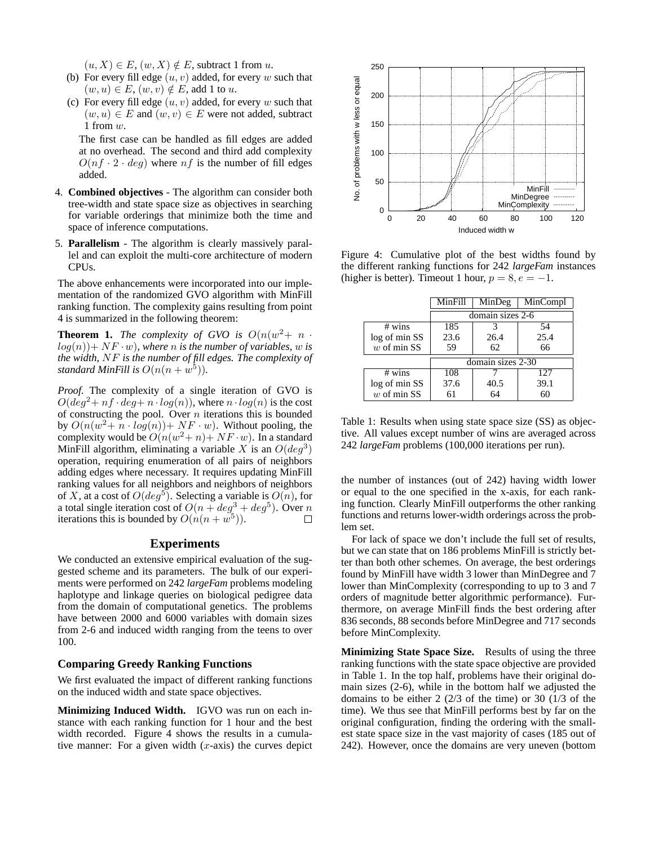$(u, X) \in E$ ,  $(w, X) \notin E$ , subtract 1 from u.

- (b) For every fill edge  $(u, v)$  added, for every w such that  $(w, u) \in E$ ,  $(w, v) \notin E$ , add 1 to u.
- (c) For every fill edge  $(u, v)$  added, for every w such that  $(w, u) \in E$  and  $(w, v) \in E$  were not added, subtract 1 from  $w$ .

The first case can be handled as fill edges are added at no overhead. The second and third add complexity  $O(n f \cdot 2 \cdot deg)$  where nf is the number of fill edges added.

- 4. **Combined objectives** The algorithm can consider both tree-width and state space size as objectives in searching for variable orderings that minimize both the time and space of inference computations.
- 5. **Parallelism** The algorithm is clearly massively parallel and can exploit the multi-core architecture of modern CPUs.

The above enhancements were incorporated into our implementation of the randomized GVO algorithm with MinFill ranking function. The complexity gains resulting from point 4 is summarized in the following theorem:

**Theorem 1.** *The complexity of GVO is*  $O(n(w^2 + n$ .  $log(n)$  + NF · w), where *n* is the number of variables, w is *the width,* NF *is the number of fill edges. The complexity of standard MinFill is*  $O(n(n+w^5))$ .

*Proof.* The complexity of a single iteration of GVO is  $O(deq^2 + nf \cdot deg + n \cdot log(n))$ , where  $n \cdot log(n)$  is the cost of constructing the pool. Over  $n$  iterations this is bounded by  $O(n(w^2 + n \cdot log(n)) + NF \cdot w)$ . Without pooling, the complexity would be  $O(n(w^2+n)+NF\cdot w)$ . In a standard MinFill algorithm, eliminating a variable X is an  $O(deg^3)$ operation, requiring enumeration of all pairs of neighbors adding edges where necessary. It requires updating MinFill ranking values for all neighbors and neighbors of neighbors of X, at a cost of  $O(deg^5)$ . Selecting a variable is  $O(n)$ , for a total single iteration cost of  $O(n + deg^3 + deg^5)$ . Over n iterations this is bounded by  $O(n(n+w^5))$ .  $\Box$ 

### **Experiments**

We conducted an extensive empirical evaluation of the suggested scheme and its parameters. The bulk of our experiments were performed on 242 *largeFam* problems modeling haplotype and linkage queries on biological pedigree data from the domain of computational genetics. The problems have between 2000 and 6000 variables with domain sizes from 2-6 and induced width ranging from the teens to over 100.

#### **Comparing Greedy Ranking Functions**

We first evaluated the impact of different ranking functions on the induced width and state space objectives.

**Minimizing Induced Width.** IGVO was run on each instance with each ranking function for 1 hour and the best width recorded. Figure 4 shows the results in a cumulative manner: For a given width  $(x$ -axis) the curves depict



Figure 4: Cumulative plot of the best widths found by the different ranking functions for 242 *largeFam* instances (higher is better). Timeout 1 hour,  $p = 8, e = -1$ .

|               | MinFill           | MinDeg | MinCompl |  |  |  |  |  |
|---------------|-------------------|--------|----------|--|--|--|--|--|
|               | domain sizes 2-6  |        |          |  |  |  |  |  |
| # wins        | 185               |        | 54       |  |  |  |  |  |
| log of min SS | 23.6              | 26.4   | 25.4     |  |  |  |  |  |
| $w$ of min SS | 59                | 62     | 66       |  |  |  |  |  |
|               | domain sizes 2-30 |        |          |  |  |  |  |  |
| # wins        | 108               |        | 127      |  |  |  |  |  |
| log of min SS | 37.6              | 40.5   | 39.1     |  |  |  |  |  |
| $w$ of min SS | 61                |        | 60       |  |  |  |  |  |

Table 1: Results when using state space size (SS) as objective. All values except number of wins are averaged across 242 *largeFam* problems (100,000 iterations per run).

the number of instances (out of 242) having width lower or equal to the one specified in the x-axis, for each ranking function. Clearly MinFill outperforms the other ranking functions and returns lower-width orderings across the problem set.

For lack of space we don't include the full set of results, but we can state that on 186 problems MinFill is strictly better than both other schemes. On average, the best orderings found by MinFill have width 3 lower than MinDegree and 7 lower than MinComplexity (corresponding to up to 3 and 7 orders of magnitude better algorithmic performance). Furthermore, on average MinFill finds the best ordering after 836 seconds, 88 seconds before MinDegree and 717 seconds before MinComplexity.

**Minimizing State Space Size.** Results of using the three ranking functions with the state space objective are provided in Table 1. In the top half, problems have their original domain sizes (2-6), while in the bottom half we adjusted the domains to be either 2 (2/3 of the time) or 30 (1/3 of the time). We thus see that MinFill performs best by far on the original configuration, finding the ordering with the smallest state space size in the vast majority of cases (185 out of 242). However, once the domains are very uneven (bottom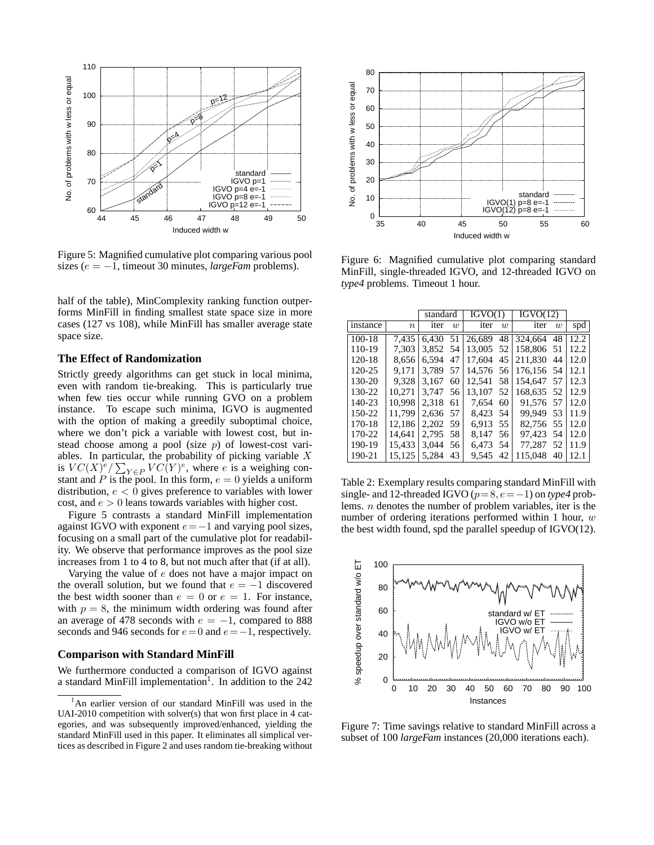

Figure 5: Magnified cumulative plot comparing various pool sizes (e = −1, timeout 30 minutes, *largeFam* problems).

half of the table), MinComplexity ranking function outperforms MinFill in finding smallest state space size in more cases (127 vs 108), while MinFill has smaller average state space size.

### **The Effect of Randomization**

Strictly greedy algorithms can get stuck in local minima, even with random tie-breaking. This is particularly true when few ties occur while running GVO on a problem instance. To escape such minima, IGVO is augmented with the option of making a greedily suboptimal choice, where we don't pick a variable with lowest cost, but instead choose among a pool (size  $p$ ) of lowest-cost variables. In particular, the probability of picking variable  $X$ is  $VC(X)^e / \sum_{Y \in P} VC(Y)^e$ , where e is a weighing constant and P is the pool. In this form,  $e = 0$  yields a uniform distribution,  $e < 0$  gives preference to variables with lower cost, and  $e > 0$  leans towards variables with higher cost.

Figure 5 contrasts a standard MinFill implementation against IGVO with exponent  $e=-1$  and varying pool sizes, focusing on a small part of the cumulative plot for readability. We observe that performance improves as the pool size increases from 1 to 4 to 8, but not much after that (if at all).

Varying the value of e does not have a major impact on the overall solution, but we found that  $e = -1$  discovered the best width sooner than  $e = 0$  or  $e = 1$ . For instance, with  $p = 8$ , the minimum width ordering was found after an average of 478 seconds with  $e = -1$ , compared to 888 seconds and 946 seconds for  $e = 0$  and  $e = -1$ , respectively.

## **Comparison with Standard MinFill**

We furthermore conducted a comparison of IGVO against a standard MinFill implementation<sup>1</sup>. In addition to the  $242$ 



Figure 6: Magnified cumulative plot comparing standard MinFill, single-threaded IGVO, and 12-threaded IGVO on *type4* problems. Timeout 1 hour.

|          |        | standard |    | IGVO(1) |     | IGVO(12)   |     |      |
|----------|--------|----------|----|---------|-----|------------|-----|------|
| instance | $\, n$ | iter     | w  | iter    | w   | iter       | w   | spd  |
| $100-18$ | 7,435  | 6,430    | 51 | 26.689  | 48  | 324,664    | 48  | 12.2 |
| 110-19   | 7.303  | 3.852 54 |    | 13,005  | 52  | 158,806 51 |     | 12.2 |
| 120-18   | 8.656  | 6.594    | 47 | 17.604  | 45  | 211.830    | 44  | 12.0 |
| 120-25   | 9.171  | 3.789    | 57 | 14.576  | -56 | 176.156 54 |     | 12.1 |
| 130-20   | 9.328  | 3.167    | 60 | 12.541  | 58  | 154.647    | 57  | 12.3 |
| 130-22   | 10.271 | 3.747    | 56 | 13.107  | 52  | 168.635    | 52  | 12.9 |
| 140-23   | 10.998 | 2.318    | 61 | 7.654   | 60  | 91.576     | .57 | 12.0 |
| 150-22   | 11.799 | 2.636    | 57 | 8.423   | .54 | 99.949     | 53  | 11.9 |
| 170-18   | 12.186 | 2.202    | 59 | 6,913   | 55  | 82.756 55  |     | 12.0 |
| 170-22   | 14.641 | 2.795 58 |    | 8.147   | 56. | 97.423     | -54 | 12.0 |
| 190-19   | 15.433 | 3.044    | 56 | 6.473   | .54 | 77.287     | 52  | 11.9 |
| 190-21   | 15.125 | 5.284    | 43 | 9.545   | 42  | 115.048    | 40  | 12.1 |

Table 2: Exemplary results comparing standard MinFill with single- and 12-threaded IGVO ( $p=8, e=-1$ ) on *type4* problems. n denotes the number of problem variables, iter is the number of ordering iterations performed within 1 hour,  $w$ the best width found, spd the parallel speedup of IGVO(12).



Figure 7: Time savings relative to standard MinFill across a subset of 100 *largeFam* instances (20,000 iterations each).

<sup>&</sup>lt;sup>1</sup>An earlier version of our standard MinFill was used in the UAI-2010 competition with solver(s) that won first place in 4 categories, and was subsequently improved/enhanced, yielding the standard MinFill used in this paper. It eliminates all simplical vertices as described in Figure 2 and uses random tie-breaking without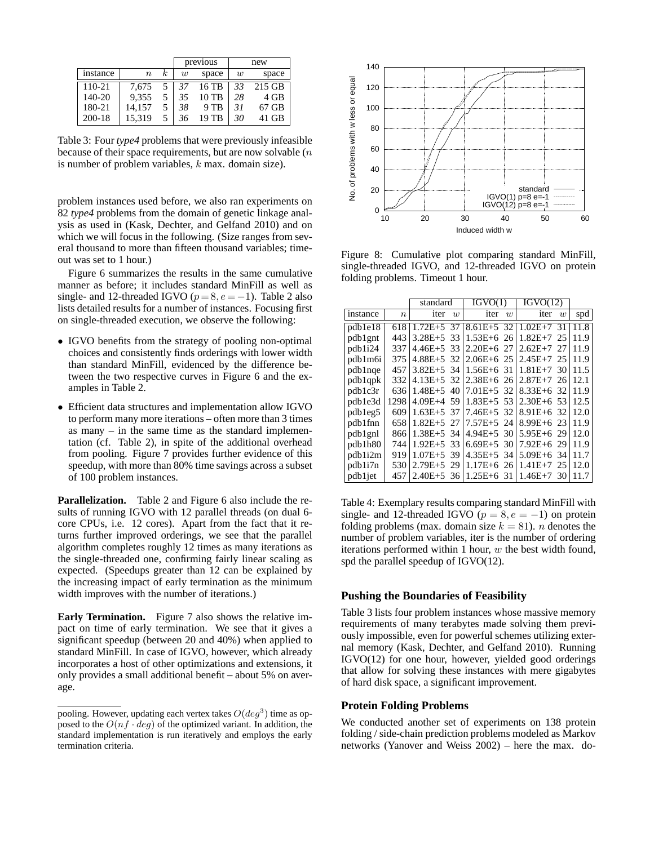|          |                  |          |    | previous | new |          |  |
|----------|------------------|----------|----|----------|-----|----------|--|
| instance | $\boldsymbol{n}$ | $\kappa$ | w  | space    | w   | space    |  |
| 110-21   | 7.675            |          | 37 | 16 TB    | 33  | $215$ GB |  |
| $140-20$ | 9.355            |          | 35 | 10 TB    | 28  | 4 GB     |  |
| 180-21   | 14.157           |          | 38 | 9 TB     | 31  | 67 GB    |  |
| 200-18   | 15.319           |          | 36 | 19 TB    | 30  | 41 GB    |  |

Table 3: Four *type4* problems that were previously infeasible because of their space requirements, but are now solvable  $(n)$ is number of problem variables,  $k$  max. domain size).

problem instances used before, we also ran experiments on 82 *type4* problems from the domain of genetic linkage analysis as used in (Kask, Dechter, and Gelfand 2010) and on which we will focus in the following. (Size ranges from several thousand to more than fifteen thousand variables; timeout was set to 1 hour.)

Figure 6 summarizes the results in the same cumulative manner as before; it includes standard MinFill as well as single- and 12-threaded IGVO ( $p=8, e=-1$ ). Table 2 also lists detailed results for a number of instances. Focusing first on single-threaded execution, we observe the following:

- IGVO benefits from the strategy of pooling non-optimal choices and consistently finds orderings with lower width than standard MinFill, evidenced by the difference between the two respective curves in Figure 6 and the examples in Table 2.
- Efficient data structures and implementation allow IGVO to perform many more iterations – often more than 3 times as many – in the same time as the standard implementation (cf. Table 2), in spite of the additional overhead from pooling. Figure 7 provides further evidence of this speedup, with more than 80% time savings across a subset of 100 problem instances.

**Parallelization.** Table 2 and Figure 6 also include the results of running IGVO with 12 parallel threads (on dual 6 core CPUs, i.e. 12 cores). Apart from the fact that it returns further improved orderings, we see that the parallel algorithm completes roughly 12 times as many iterations as the single-threaded one, confirming fairly linear scaling as expected. (Speedups greater than 12 can be explained by the increasing impact of early termination as the minimum width improves with the number of iterations.)

**Early Termination.** Figure 7 also shows the relative impact on time of early termination. We see that it gives a significant speedup (between 20 and 40%) when applied to standard MinFill. In case of IGVO, however, which already incorporates a host of other optimizations and extensions, it only provides a small additional benefit – about 5% on average.



Figure 8: Cumulative plot comparing standard MinFill, single-threaded IGVO, and 12-threaded IGVO on protein folding problems. Timeout 1 hour.

|                     |                  | standard       |                  | IGVO(1)        |                | IGVO(12)       |     |      |
|---------------------|------------------|----------------|------------------|----------------|----------------|----------------|-----|------|
| instance            | $\boldsymbol{n}$ | iter           | $\boldsymbol{w}$ | iter           | $\overline{w}$ | iter           | w   | spd  |
| pdb1e18             | 618              | $1.72E + 5$    | 37               | $8.61E + 5.32$ |                | $1.02E + 7$    | 31  | 11.8 |
| pdb1gnt             | 443              | $3.28E + 5$    | 33               | $1.53E+6$ 26   |                | $1.82E+7$      | -25 | 11.9 |
| pdb1i24             | 337              | $4.46E + 5$    | 33               | $2.20E+6$ 27   |                | $2.62E+7$      | 27  | 11.9 |
| pdb1m6i             | 375              | $4.88E+5.32$   |                  | $2.06E+6$ 25   |                | $2.45E+7$ 25   |     | 11.9 |
| pdblnqe             | 457              | $3.82E+5.34$   |                  | $1.56E+6.31$   |                | $1.81E+7.30$   |     | 11.5 |
| pdb1qpk             | 332              | $4.13E + 5$    | 32               | $2.38E+6$ 26   |                | $2.87E+7$ 26   |     | 12.1 |
| pdb1c3r             | 636              | $1.48E + 5$    | 40               | $7.01E + 5.32$ |                | $8.33E+6.32$   |     | 11.9 |
| pdb1e3d             | 1298             | $4.09E+4.59$   |                  | $1.83E+5.53$   |                | $2.30E + 6.53$ |     | 12.5 |
| pdbleg5             | 609              | $1.63E+5.37$   |                  | $7.46E+5.32$   |                | $8.91E+6.32$   |     | 12.0 |
| pdb1fnn             | 658              | $1.82E+5$ 27   |                  | $7.57E + 5$ 24 |                | $8.99E+6$ 23   |     | 11.9 |
| pdb1gnl             | 866              | $1.38E+5.34$   |                  | $4.94E+5.30$   |                | $5.95E+6$ 29   |     | 12.0 |
| pdb1h80             | 744              | $1.92E+5.33$   |                  | $6.69E+5.30$   |                | $7.92E + 6.29$ |     | 11.9 |
| pdb1i2m             | 919              | $1.07E + 5.39$ |                  | $4.35E+5.34$   |                | $5.09E + 6.34$ |     | 11.7 |
| pdb1i7n             | 530              | $2.79E + 5$ 29 |                  | $1.17E + 6$ 26 |                | $1.41E + 7$    | 25  | 12.0 |
| pdb1 <sub>jet</sub> | 457              | $2.40E+5.36$   |                  | $1.25E + 6$    | -31            | $1.46E + 7$    | 30  | 11.7 |

Table 4: Exemplary results comparing standard MinFill with single- and 12-threaded IGVO ( $p = 8, e = -1$ ) on protein folding problems (max. domain size  $k = 81$ ). *n* denotes the number of problem variables, iter is the number of ordering iterations performed within 1 hour,  $w$  the best width found, spd the parallel speedup of IGVO(12).

#### **Pushing the Boundaries of Feasibility**

Table 3 lists four problem instances whose massive memory requirements of many terabytes made solving them previously impossible, even for powerful schemes utilizing external memory (Kask, Dechter, and Gelfand 2010). Running IGVO(12) for one hour, however, yielded good orderings that allow for solving these instances with mere gigabytes of hard disk space, a significant improvement.

### **Protein Folding Problems**

We conducted another set of experiments on 138 protein folding / side-chain prediction problems modeled as Markov networks (Yanover and Weiss 2002) – here the max. do-

pooling. However, updating each vertex takes  $O(deg^3)$  time as opposed to the  $O(n f \cdot deg)$  of the optimized variant. In addition, the standard implementation is run iteratively and employs the early termination criteria.